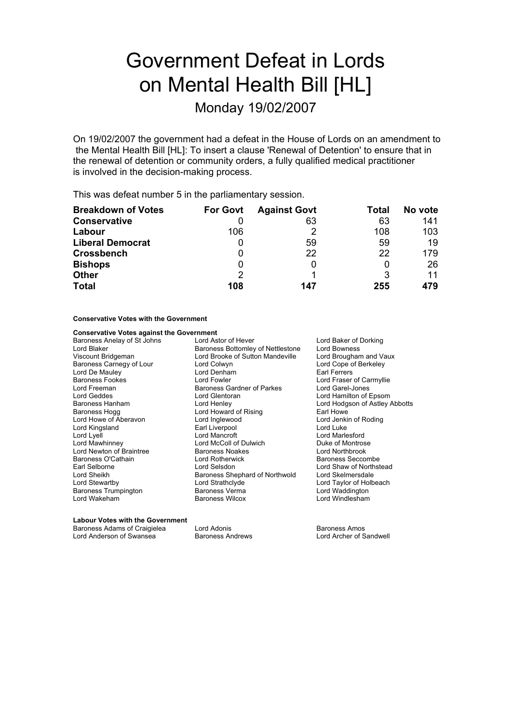# Government Defeat in Lords on Mental Health Bill [HL]

Monday 19/02/2007

On 19/02/2007 the government had a defeat in the House of Lords on an amendment to the Mental Health Bill [HL]: To insert a clause 'Renewal of Detention' to ensure that in the renewal of detention or community orders, a fully qualified medical practitioner is involved in the decision-making process.

This was defeat number 5 in the parliamentary session.

| <b>Breakdown of Votes</b> | <b>For Govt</b> | <b>Against Govt</b> | Total | No vote |
|---------------------------|-----------------|---------------------|-------|---------|
| <b>Conservative</b>       |                 | 63                  | 63    | 141     |
| Labour                    | 106             |                     | 108   | 103     |
| <b>Liberal Democrat</b>   | Ü               | 59                  | 59    | 19      |
| <b>Crossbench</b>         |                 | 22                  | 22    | 179     |
| <b>Bishops</b>            | 0               |                     |       | 26      |
| <b>Other</b>              | 2               |                     | 3     | 11      |
| <b>Total</b>              | 108             | 147                 | 255   | 479     |

## **Conservative Votes with the Government**

## **Conservative Votes against the Government**

Baroness Anelay of St Johns Lord Astor of Hever Lord Baker of Dorking Baroness Carnegy of Lour Lord Freeman Baroness Gardner of Parkes<br>
Lord Geddes Lord Glentoran Lord Kingsland Earl Liverpool Lord Newton of Braintree Baroness Noakes<br>
Raroness O'Cathain Lord Rotherwick Lord Wakeham Baroness Wilcox Lord Windlesham

Lord Blaker **Baroness Bottomley of Nettlestone** Lord Bowness<br>
Viscount Bridgeman **Baroness Bottom Andeville** Lord Brougham and Vaux Viscount Brooke of Sutton Mandeville Lord Brougham and Vaux Lord Cope of Berkeley Lord De Mauley Lord Denham Earl Ferrers Baroness Fookes **Example 2** Lord Fowler Lord Faser of Carmyllie<br>
Lord Freeman **Lord Four Baroness Gardner of Parkes** Lord Garel-Jones Lord Geddes Lord Glentoran Lord Hamilton of Epsom Baroness Hanham Lord Henley Lord Hodgson of Astley Abbotts Lord Howard of Rising<br>
Lord Inglewood<br>
Lord Jenkin of Roding Lord Howe of Aberavon Lord Inglewood Lord Jenkin Lord Jenkin Cord Jenkin Cord Jenkin Cord Jenkin Cord Jenkin o<br>Lord Kingsland Lord Juke Lord Lyell<br>
Lord Marlesford Cord Marcroft Lord Mecoll of Dulwich<br>
Lord Marcroft Cord McColl of Dulwich<br>
Lord Marcroft Cord McColl of Dulwich<br>
Duke of Montrose Lord McColl of Dulwich<br>
Baroness Noakes<br>
Lord Northbrook Baroness O'Cathain **Example 20** Lord Rotherwick **container and Baroness Seccombe** Earl Selborne **Lord Selsdon** Lord Selsdon **Lord Shaw of Northstead**<br>
Lord Shaw of Northwold Lord Skelmersdale<br>
Lord Skelmersdale Lord Sheikh Baroness Shephard of Northwold<br>
Lord Stewartby **Baroness Shephard of Northwold** Baroness Trumpington **in Baroness Verma** Lord Waddington

Lord Taylor of Holbeach

#### **Labour Votes with the Government**

Baroness Adams of Craigielea Lord Adonis **Baroness Amos** Baroness Amos

Lord Anderson of Swansea Baroness Andrews Lord Archer of Sandwell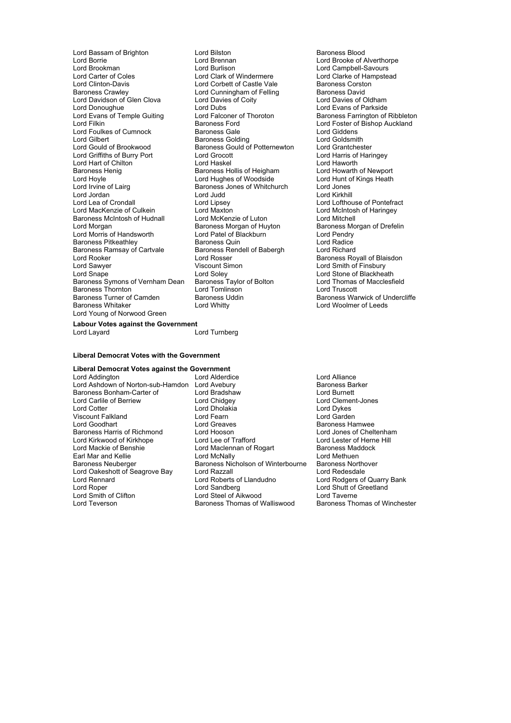Lord Bassam of Brighton **Lord Bilston** Lord Bilston **Baroness Blood**<br>
Lord Borrie **Constant Baroness Blood**<br>
Lord Brennan Lord Borrie **Lord Brennan Collect Corporation** Lord Brooke of Alverthorpe<br>
Lord Brookman **Lord Burlison** Lord Burlison **Lord Campbell-Savours** Lord Brookman Lord Burlison Lord Campbell-Savours<br>
Lord Carter of Coles Lord Clark of Windermere Lord Clarke of Hampstead Lord Carter of Coles Lord Clark of Windermere Lord Clarke of Hampster Coles Lord Clark of Windermere Lord Clarke of Hampstead Lord Clarke of Hampstead Lord Clarke of Hampstead Lord Clarke of Hampstead Lord Clarke of Hampst Lord Clinton-Davis **Lord Corbett of Castle Vale** Baroness Corstonant Corporation Corporation Corporation Corporat<br>Baroness Crawley **Baroness Cavid Corporation** Corporation Corporation Corporation Corporation Corporation Co Lord Davidson of Glen Clova<br>Lord Davidson of Glen Clova<br>Lord Dubs Cord Dubs Lord Donoughue **Lord Dubs**<br>
Lord Evans of Temple Guiting Lord Falconer of Thoroton **Lord Example Baroness Farrington of** Lord Evans of Temple Guiting Lord Falconer of Thoroton Baroness Farrington of Ribbleton<br>Lord Filkin Baroness Ford Lord Foster of Bishop Auckland Lord Foulkes of Cumnock Baroness Gale Lord Giddens Lord Gilbert **Baroness Golding** Lord Goldsmith<br>
Lord Gould of Brookwood Baroness Gould of Potternewton Lord Grantchester Lord Griffiths of Burry Port Lord Hart of Chilt no Lord Haskel Lord Haworth Baroness Henig **Baroness Hollis of Heigham**<br> **Baroness Henight Cord Howarth Of Howarth Of New Port New York Cord Hughes of Woodside** Lord Hoyle **Lord Hughes of Woodside** Lord Hunt of Kings Heath<br>
Lord Irvine of Lairg **Connect Baroness Jones of Whitchurch** Lord Jones Lord Irvine of Lairg<br>
Lord Irvine of Lairg<br>
Lord Judd<br>
Lord Judd<br>
Lord Judd Lord Jordan Lord Judd Lord Kirkhill Lord Lea of Crondall Lord Lipsey Lord Lofthouse of Pontefract<br>
Lord Maxton Lord Maxton Lord Montefract Lord Montesh of Haringey Lord MacKenzie of Culkein Lord Maxton<br>
Lord MacKenzie of Culkein Lord McIntosh Lord McIntosh of Haringey<br>
Baroness McIntosh of Hudnall Lord McKenzie of Luton Lord Mitchell Baroness McIntosh of Hudnall Lord McKenzie of Luton<br>
Lord Morgan Corporation Caroness Morgan of Huvton Baroness Morgan of Drefelin Lord Morris of Handsworth Lord Patel of Blackburn<br>
Baroness Pitkeathley Baroness Quin Lord Radice Baroness Pitkeathley<br>
Baroness Ramsay of Cartvale<br>
Baroness Ramsay of Cartvale<br>
Baroness Rendell of Babergh Baroness Ramsay of Cartvale **Baroness Rendell of Babergh** Lord Richard<br>
Lord Rooker **Baroness Rendell of Babergh** Lord Richard<br>
Lord Rosser **Baroness Ramsay** of Cartvale Lord Rooker The Lord Rosser Corporation Corporation Corporation Corporation Corporation Corporation Corporatio<br>Lord Sawyer Corporation Corporation Corporation Corporation Corporation Corporation Corporation Corporation Co Lord Snape Lord Soley Lord Stone of Blackheath Baroness Symons of Vernham Dean Baroness Taylor of Bolton Lord Thomas Corpus Corpus Corpus Corpus Corpus Corpu<br>Baroness Thornton Lord Tomlinson Lord Truscott Baroness Thornton **Lord Tomlinson**<br>
Baroness Turner of Camden **Baroness Uddin** Baroness Whitaker Lord Whitty Lord Woolmer of Leeds Lord Young of Norwood Green

Lord Cunningham of Felling Baroness David<br>
Lord Davies of Coity<br>
Lord Davies of Clubam Baroness Ford **Exercise Exercise Exercise Ford Foster of Bishop Auckland**<br> **Baroness Gale Lord Giddens** Baroness Gould of Potternewton Lord Grantchester<br>Lord Grocott Lord Harris of Haringey Exaroness Morgan of Huyton Baroness Morgan of Huyton baroness Morgan of Pendry Viscount Simon Lord Smith of Finsbury<br>
Lord Solev Lord Stone of Blackhea

Baroness Warwick of Undercliffe

**Labour Votes against the Government**<br>Lord Layard Lord Turnberg

#### **Liberal Democrat Votes with the Government**

# **Liberal Democrat Votes against the Government**<br>*L***ord Addington<br><b>Reserved Addentice**

Viscount Falkla d n Lord Fearn Lord Garden

Lord Addington Lord Alderdice Lord Anderdice Lord Addington Lord Anderdice Lord Anderdice Lord Ashdown of Norton-sub-Hamdon Lord Avebury Lord Ashdown of Norton-sub-Hamdon Lord Avebury entity and a Baroness Barconess Barconess Barker Lord Burnett Baroness Bonham-Carter of Lord Bradshaw Lord Burnett Lord Carlile of Berriew Lord Chidgey Lord Clement Lord Clement Lord Clement Lord Clement Lord Dvkes Lord Cotter Lord Dholakia Lord Dykes Lord Greaves<br>
Lord Hooson<br>
Lord Jones of Cheltenham Baroness Harris of Richmond Lord Hooson Lord Lord Lord Jones of Cheltenhai<br>
Lord Kirkwood of Kirkhope Lord Lee of Trafford Lord Lester of Herne Hill Lord Kirkwood of Kirkhope Lord Lee of Trafford Lord Lester of Hern<br>
Lord Mackie of Benshie Lord Maclennan of Rogart Baroness Maddock Lord Maclennan of Rogart **Baroness Maddock**<br>Lord McNally Baroness Maddock Earl Mar and Kellie **Lock Community** Lord McNally **Louise Community** Lord Methuen<br>Baroness Neuberger **Community** Baroness Nicholson of Winterbourne Baroness Northover Baroness Nicholson of Winterbourne Lord Oakeshott of Seagrove Bay Lord Razzall **Lord Redesdale**<br>
Lord Rennard **Cord Roberts of Llandudno** Lord Rodgers of Lord Rennard **Lord Roberts of Liandudno** Lord Rodgers of Quarry Bank<br>
Lord Rober Lord Sandberg Lord Sandberg Lord Shutt of Greetland Lord Roper Lord Sandberg Lord Shutt of Greetland Lord Smith of Clifton Lord Steel of Aikwood Lord Taverne Lord Teverson **Baroness Thomas of Walliswood** Baroness Thomas of Winchester